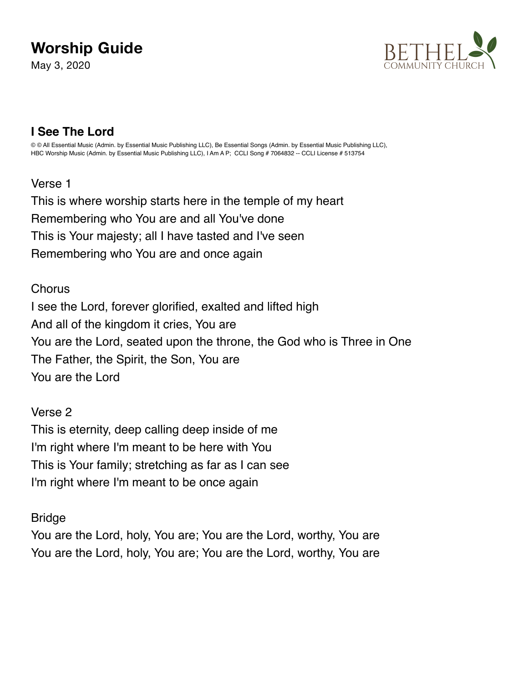# **Worship Guide**

May 3, 2020



## **I See The Lord**

© © All Essential Music (Admin. by Essential Music Publishing LLC), Be Essential Songs (Admin. by Essential Music Publishing LLC), HBC Worship Music (Admin. by Essential Music Publishing LLC), I Am A P; CCLI Song # 7064832 -- CCLI License # 513754

Verse 1 This is where worship starts here in the temple of my heart Remembering who You are and all You've done This is Your majesty; all I have tasted and I've seen Remembering who You are and once again

#### **Chorus**

I see the Lord, forever glorified, exalted and lifted high And all of the kingdom it cries, You are You are the Lord, seated upon the throne, the God who is Three in One The Father, the Spirit, the Son, You are You are the Lord

#### Verse 2

This is eternity, deep calling deep inside of me I'm right where I'm meant to be here with You This is Your family; stretching as far as I can see I'm right where I'm meant to be once again

#### **Bridge**

You are the Lord, holy, You are; You are the Lord, worthy, You are You are the Lord, holy, You are; You are the Lord, worthy, You are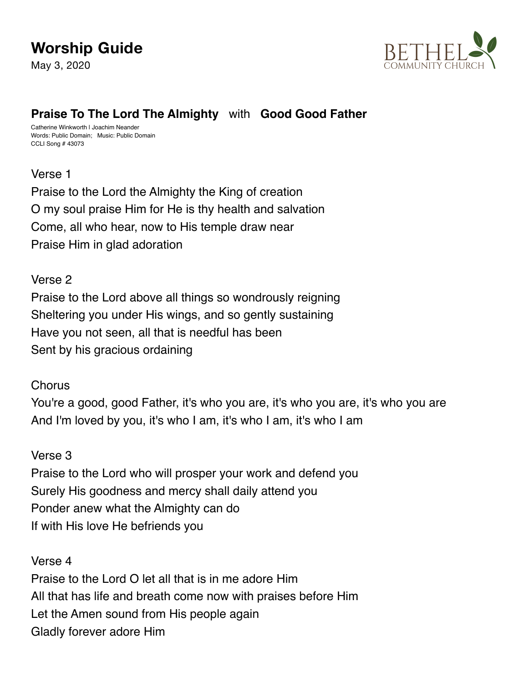## **Worship Guide**

May 3, 2020



### **Praise To The Lord The Almighty** with **Good Good Father**

Catherine Winkworth | Joachim Neander Words: Public Domain; Music: Public Domain CCLI Song # 43073

Verse 1

Praise to the Lord the Almighty the King of creation O my soul praise Him for He is thy health and salvation Come, all who hear, now to His temple draw near Praise Him in glad adoration

Verse 2

Praise to the Lord above all things so wondrously reigning Sheltering you under His wings, and so gently sustaining Have you not seen, all that is needful has been Sent by his gracious ordaining

#### **Chorus**

You're a good, good Father, it's who you are, it's who you are, it's who you are And I'm loved by you, it's who I am, it's who I am, it's who I am

Verse 3 Praise to the Lord who will prosper your work and defend you Surely His goodness and mercy shall daily attend you Ponder anew what the Almighty can do If with His love He befriends you

Verse 4 Praise to the Lord O let all that is in me adore Him All that has life and breath come now with praises before Him Let the Amen sound from His people again Gladly forever adore Him